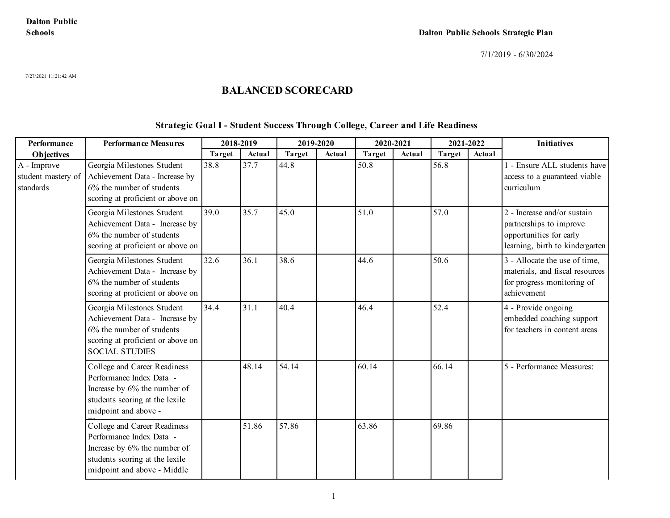7/27/2021 11:21:42 AM

## **BALANCED SCORECARD**

#### **Strategic Goal I - Student Success Through College, Career and Life Readiness**

| Performance                                    | <b>Performance Measures</b>                                                                                                                               | 2018-2019     |        | 2019-2020     |        | 2020-2021     |        | 2021-2022     |        | <b>Initiatives</b>                                                                                                   |
|------------------------------------------------|-----------------------------------------------------------------------------------------------------------------------------------------------------------|---------------|--------|---------------|--------|---------------|--------|---------------|--------|----------------------------------------------------------------------------------------------------------------------|
| Objectives                                     |                                                                                                                                                           | <b>Target</b> | Actual | <b>Target</b> | Actual | <b>Target</b> | Actual | <b>Target</b> | Actual |                                                                                                                      |
| A - Improve<br>student mastery of<br>standards | Georgia Milestones Student<br>Achievement Data - Increase by<br>6% the number of students<br>scoring at proficient or above on                            | 38.8          | 37.7   | 44.8          |        | 50.8          |        | 56.8          |        | 1 - Ensure ALL students have<br>access to a guaranteed viable<br>curriculum                                          |
|                                                | Georgia Milestones Student<br>Achievement Data - Increase by<br>6% the number of students<br>scoring at proficient or above on                            | 39.0          | 35.7   | 45.0          |        | 51.0          |        | 57.0          |        | 2 - Increase and/or sustain<br>partnerships to improve<br>opportunities for early<br>learning, birth to kindergarten |
|                                                | Georgia Milestones Student<br>Achievement Data - Increase by<br>6% the number of students<br>scoring at proficient or above on                            | 32.6          | 36.1   | 38.6          |        | 44.6          |        | 50.6          |        | 3 - Allocate the use of time,<br>materials, and fiscal resources<br>for progress monitoring of<br>achievement        |
|                                                | Georgia Milestones Student<br>Achievement Data - Increase by<br>6% the number of students<br>scoring at proficient or above on<br><b>SOCIAL STUDIES</b>   | 34.4          | 31.1   | 40.4          |        | 46.4          |        | 52.4          |        | 4 - Provide ongoing<br>embedded coaching support<br>for teachers in content areas                                    |
|                                                | College and Career Readiness<br>Performance Index Data -<br>Increase by 6% the number of<br>students scoring at the lexile<br>midpoint and above -        |               | 48.14  | 54.14         |        | 60.14         |        | 66.14         |        | 5 - Performance Measures:                                                                                            |
|                                                | College and Career Readiness<br>Performance Index Data -<br>Increase by 6% the number of<br>students scoring at the lexile<br>midpoint and above - Middle |               | 51.86  | 57.86         |        | 63.86         |        | 69.86         |        |                                                                                                                      |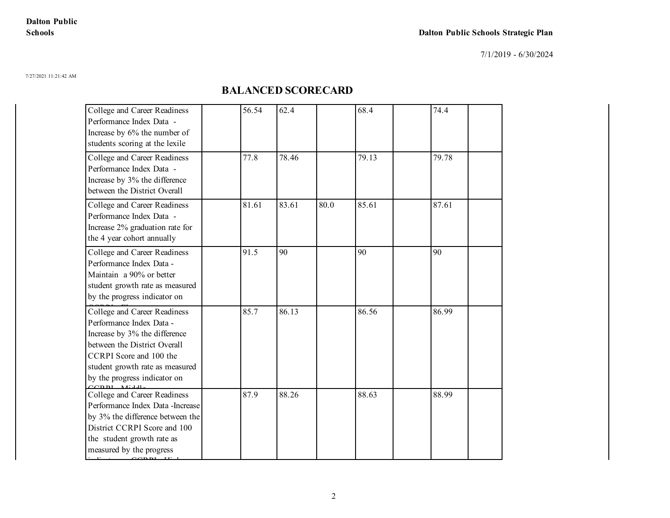7/1/2019 - 6/30/2024

7/27/2021 11:21:42 AM

| College and Career Readiness<br>Performance Index Data -<br>Increase by 6% the number of<br>students scoring at the lexile                                                                                              | 56.54 | 62.4  |      | 68.4  | 74.4  |
|-------------------------------------------------------------------------------------------------------------------------------------------------------------------------------------------------------------------------|-------|-------|------|-------|-------|
| College and Career Readiness<br>Performance Index Data -<br>Increase by 3% the difference<br>between the District Overall                                                                                               | 77.8  | 78.46 |      | 79.13 | 79.78 |
| College and Career Readiness<br>Performance Index Data -<br>Increase 2% graduation rate for<br>the 4 year cohort annually                                                                                               | 81.61 | 83.61 | 80.0 | 85.61 | 87.61 |
| College and Career Readiness<br>Performance Index Data -<br>Maintain a 90% or better<br>student growth rate as measured<br>by the progress indicator on                                                                 | 91.5  | 90    |      | 90    | 90    |
| College and Career Readiness<br>Performance Index Data -<br>Increase by 3% the difference<br>between the District Overall<br>CCRPI Score and 100 the<br>student growth rate as measured<br>by the progress indicator on | 85.7  | 86.13 |      | 86.56 | 86.99 |
| College and Career Readiness<br>Performance Index Data - Increase<br>by 3% the difference between the<br>District CCRPI Score and 100<br>the student growth rate as<br>measured by the progress<br>$CCDDI$ $U'$ 1       | 87.9  | 88.26 |      | 88.63 | 88.99 |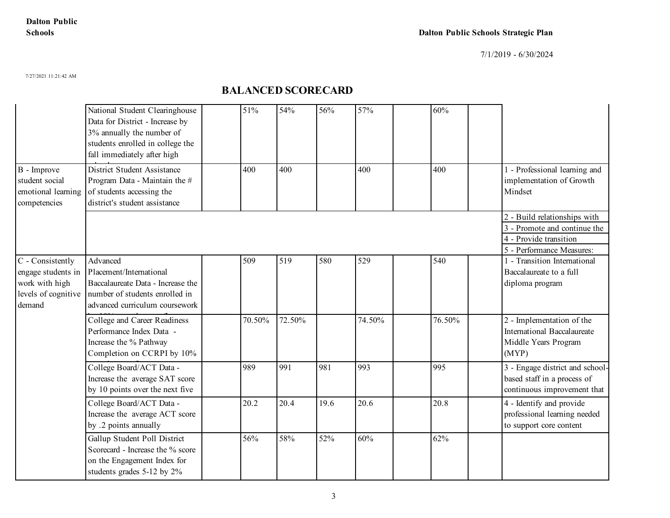7/1/2019 - 6/30/2024

7/27/2021 11:21:42 AM

|                                                                                           | National Student Clearinghouse<br>Data for District - Increase by<br>3% annually the number of<br>students enrolled in college the<br>fall immediately after high | 51%    | 54%    | 56%  | 57%    | 60%    |                                                                                                                     |
|-------------------------------------------------------------------------------------------|-------------------------------------------------------------------------------------------------------------------------------------------------------------------|--------|--------|------|--------|--------|---------------------------------------------------------------------------------------------------------------------|
| B - Improve<br>student social<br>emotional learning<br>competencies                       | District Student Assistance<br>Program Data - Maintain the #<br>of students accessing the<br>district's student assistance                                        | 400    | 400    |      | 400    | 400    | 1 - Professional learning and<br>implementation of Growth<br>Mindset                                                |
|                                                                                           |                                                                                                                                                                   |        |        |      |        |        | 2 - Build relationships with<br>3 - Promote and continue the<br>4 - Provide transition<br>5 - Performance Measures: |
| C - Consistently<br>engage students in<br>work with high<br>levels of cognitive<br>demand | Advanced<br>Placement/International<br>Baccalaureate Data - Increase the<br>number of students enrolled in<br>advanced curriculum coursework                      | 509    | 519    | 580  | 529    | 540    | 1 - Transition International<br>Baccalaureate to a full<br>diploma program                                          |
|                                                                                           | College and Career Readiness<br>Performance Index Data -<br>Increase the % Pathway<br>Completion on CCRPI by 10%                                                  | 70.50% | 72.50% |      | 74.50% | 76.50% | 2 - Implementation of the<br>International Baccalaureate<br>Middle Years Program<br>(MYP)                           |
|                                                                                           | College Board/ACT Data -<br>Increase the average SAT score<br>by 10 points over the next five                                                                     | 989    | 991    | 981  | 993    | 995    | 3 - Engage district and school-<br>based staff in a process of<br>continuous improvement that                       |
|                                                                                           | College Board/ACT Data -<br>Increase the average ACT score<br>by .2 points annually                                                                               | 20.2   | 20.4   | 19.6 | 20.6   | 20.8   | 4 - Identify and provide<br>professional learning needed<br>to support core content                                 |
|                                                                                           | Gallup Student Poll District<br>Scorecard - Increase the % score<br>on the Engagement Index for<br>students grades 5-12 by 2%                                     | 56%    | 58%    | 52%  | 60%    | 62%    |                                                                                                                     |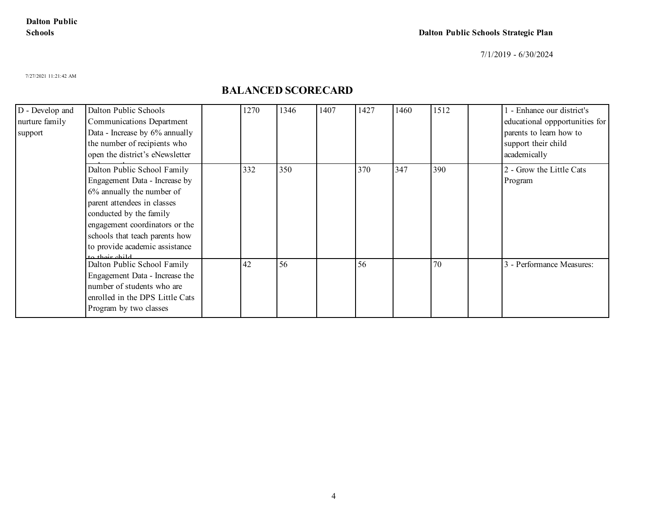7/1/2019 - 6/30/2024

7/27/2021 11:21:42 AM

| D - Develop and<br>nurture family<br>support | Dalton Public Schools<br>Communications Department<br>Data - Increase by 6% annually<br>the number of recipients who<br>open the district's eNewsletter                                                                                                                     | 1270 | 1346 | 1407 | 1427 | 1460 | 1512 | - Enhance our district's<br>educational oppportunities for<br>parents to learn how to<br>support their child<br>academically |
|----------------------------------------------|-----------------------------------------------------------------------------------------------------------------------------------------------------------------------------------------------------------------------------------------------------------------------------|------|------|------|------|------|------|------------------------------------------------------------------------------------------------------------------------------|
|                                              | Dalton Public School Family<br>Engagement Data - Increase by<br>6% annually the number of<br>parent attendees in classes<br>conducted by the family<br>engagement coordinators or the<br>schools that teach parents how<br>to provide academic assistance<br>to thoir child | 332  | 350  |      | 370  | 347  | 390  | 2 - Grow the Little Cats<br>Program                                                                                          |
|                                              | Dalton Public School Family<br>Engagement Data - Increase the<br>number of students who are<br>enrolled in the DPS Little Cats<br>Program by two classes                                                                                                                    | 42   | 56   |      | 56   |      | 70   | 3 - Performance Measures:                                                                                                    |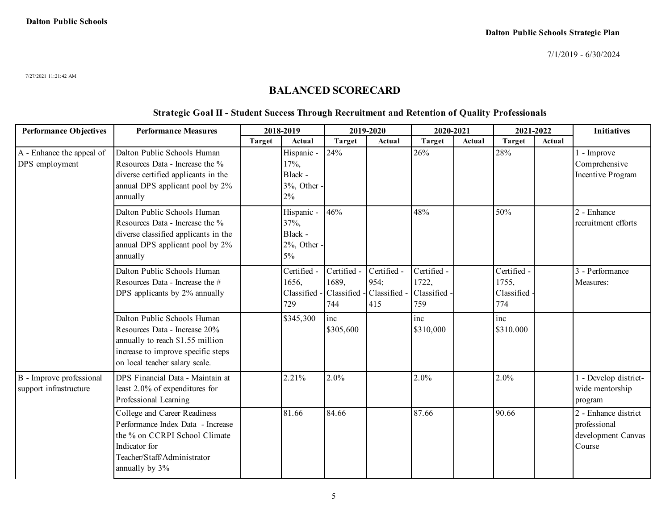7/27/2021 11:21:42 AM

### **BALANCED SCORECARD**

#### **Strategic Goal II - Student Success Through Recruitment and Retention of Quality Professionals**

| <b>Performance Objectives</b>                      | <b>Performance Measures</b>                                                                                                                                              | 2018-2019     |                                                         |                             | 2019-2020                                               | 2020-2021                                   |        | 2021-2022                                 |        | <b>Initiatives</b>                                                   |
|----------------------------------------------------|--------------------------------------------------------------------------------------------------------------------------------------------------------------------------|---------------|---------------------------------------------------------|-----------------------------|---------------------------------------------------------|---------------------------------------------|--------|-------------------------------------------|--------|----------------------------------------------------------------------|
|                                                    |                                                                                                                                                                          | <b>Target</b> | Actual                                                  | <b>Target</b>               | Actual                                                  | <b>Target</b>                               | Actual | <b>Target</b>                             | Actual |                                                                      |
| A - Enhance the appeal of<br>DPS employment        | Dalton Public Schools Human<br>Resources Data - Increase the %<br>diverse certified applicants in the<br>annual DPS applicant pool by 2%<br>annually                     |               | Hispanic -<br>17%,<br>Black -<br>3%, Other<br>$2\%$     | 24%                         |                                                         | 26%                                         |        | 28%                                       |        | l - Improve<br>Comprehensive<br>Incentive Program                    |
|                                                    | Dalton Public Schools Human<br>Resources Data - Increase the %<br>diverse classified applicants in the<br>annual DPS applicant pool by 2%<br>annually                    |               | Hispanic -<br>37%,<br>Black -<br>$2\%$ , Other<br>$5\%$ | 46%                         |                                                         | 48%                                         |        | 50%                                       |        | 2 - Enhance<br>recruitment efforts                                   |
|                                                    | Dalton Public Schools Human<br>Resources Data - Increase the #<br>DPS applicants by 2% annually                                                                          |               | Certified -<br>1656,<br>Classified -<br>729             | Certified -<br>1689,<br>744 | Certified -<br>954;<br>Classified - Classified -<br>415 | Certified -<br>1722,<br>Classified -<br>759 |        | Certified -<br>1755,<br>Classified<br>774 |        | 3 - Performance<br>Measures:                                         |
|                                                    | Dalton Public Schools Human<br>Resources Data - Increase 20%<br>annually to reach \$1.55 million<br>increase to improve specific steps<br>on local teacher salary scale. |               | \$345,300                                               | inc<br>\$305,600            |                                                         | inc<br>\$310,000                            |        | inc<br>\$310.000                          |        |                                                                      |
| B - Improve professional<br>support infrastructure | DPS Financial Data - Maintain at<br>least 2.0% of expenditures for<br>Professional Learning                                                                              |               | 2.21%                                                   | 2.0%                        |                                                         | 2.0%                                        |        | 2.0%                                      |        | 1 - Develop district-<br>wide mentorship<br>program                  |
|                                                    | College and Career Readiness<br>Performance Index Data - Increase<br>the % on CCRPI School Climate<br>Indicator for<br>Teacher/Staff/Administrator<br>annually by 3%     |               | 81.66                                                   | 84.66                       |                                                         | 87.66                                       |        | 90.66                                     |        | 2 - Enhance district<br>professional<br>development Canvas<br>Course |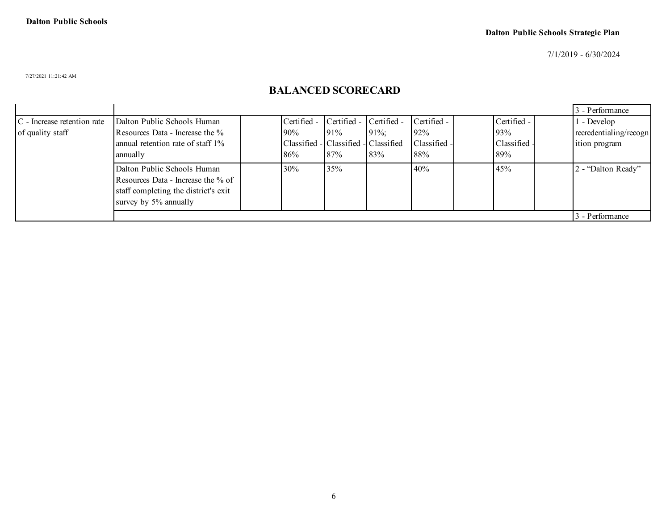7/1/2019 - 6/30/2024

7/27/2021 11:21:42 AM

|                                |                                      |                                      |                         |        |              |     |              | 3 - Performance        |
|--------------------------------|--------------------------------------|--------------------------------------|-------------------------|--------|--------------|-----|--------------|------------------------|
| $ C$ - Increase retention rate | Dalton Public Schools Human          | Certified -                          | Certified - Certified - |        | Certified -  |     | Certified -  | - Develop              |
| of quality staff               | Resources Data - Increase the %      | $90\%$                               | 91%                     | $91\%$ | 92%          | 93% |              | recredentialing/recogn |
|                                | annual retention rate of staff 1%    | Classified - Classified - Classified |                         |        | Classified - |     | Classified - | lition program         |
|                                | annually                             | 86%                                  | 87%                     | 83%    | 88%          | 89% |              |                        |
|                                | Dalton Public Schools Human          | 30%                                  | 35%                     |        | 40%          | 45% |              | 2 - "Dalton Ready"     |
|                                | Resources Data - Increase the % of   |                                      |                         |        |              |     |              |                        |
|                                | staff completing the district's exit |                                      |                         |        |              |     |              |                        |
|                                | survey by 5% annually                |                                      |                         |        |              |     |              |                        |
|                                |                                      |                                      |                         |        |              |     |              | 3 - Performance        |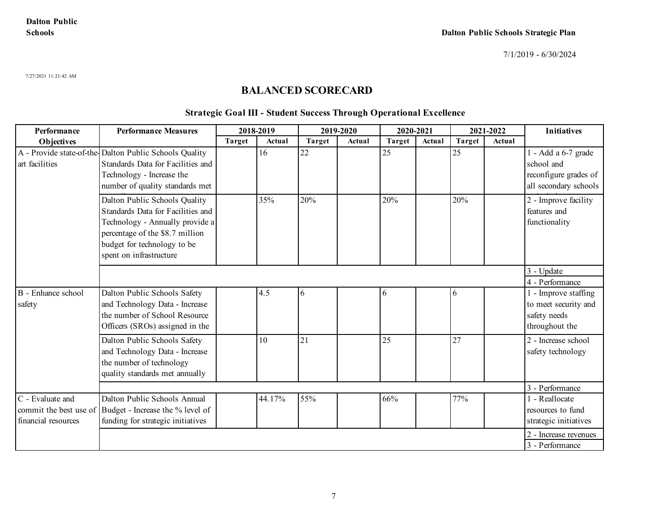7/27/2021 11:21:42 AM

## **BALANCED SCORECARD**

#### **Strategic Goal III - Student Success Through Operational Excellence**

| Performance                                                       | <b>Performance Measures</b>                                                                                                                                                                        |        | 2018-2019 |               | 2019-2020 | 2020-2021     |        | 2021-2022     |        | <b>Initiatives</b>                                                                  |
|-------------------------------------------------------------------|----------------------------------------------------------------------------------------------------------------------------------------------------------------------------------------------------|--------|-----------|---------------|-----------|---------------|--------|---------------|--------|-------------------------------------------------------------------------------------|
| Objectives                                                        |                                                                                                                                                                                                    | Target | Actual    | <b>Target</b> | Actual    | <b>Target</b> | Actual | <b>Target</b> | Actual |                                                                                     |
| art facilities                                                    | A - Provide state-of-the-Dalton Public Schools Quality<br>Standards Data for Facilities and<br>Technology - Increase the<br>number of quality standards met                                        |        | 16        | 22            |           | 25            |        | 25            |        | 1 - Add a 6-7 grade<br>school and<br>reconfigure grades of<br>all secondary schools |
|                                                                   | Dalton Public Schools Quality<br>Standards Data for Facilities and<br>Technology - Annually provide a<br>percentage of the \$8.7 million<br>budget for technology to be<br>spent on infrastructure |        | 35%       | 20%           |           | 20%           |        | 20%           |        | 2 - Improve facility<br>features and<br>functionality                               |
|                                                                   |                                                                                                                                                                                                    |        |           |               |           |               |        |               |        | 3 - Update                                                                          |
|                                                                   |                                                                                                                                                                                                    |        |           |               |           |               |        |               |        | 4 - Performance                                                                     |
| B - Enhance school<br>safety                                      | Dalton Public Schools Safety<br>and Technology Data - Increase<br>the number of School Resource<br>Officers (SROs) assigned in the                                                                 |        | 4.5       | 6             |           | 6             |        | 6             |        | 1 - Improve staffing<br>to meet security and<br>safety needs<br>throughout the      |
|                                                                   | Dalton Public Schools Safety<br>and Technology Data - Increase<br>the number of technology<br>quality standards met annually                                                                       |        | 10        | 21            |           | 25            |        | 27            |        | 2 - Increase school<br>safety technology                                            |
|                                                                   |                                                                                                                                                                                                    |        |           |               |           |               |        |               |        | 3 - Performance                                                                     |
| C - Evaluate and<br>commit the best use of<br>financial resources | Dalton Public Schools Annual<br>Budget - Increase the % level of<br>funding for strategic initiatives                                                                                              |        | 44.17%    | 55%           |           | 66%           |        | 77%           |        | 1 - Reallocate<br>resources to fund<br>strategic initiatives                        |
|                                                                   |                                                                                                                                                                                                    |        |           |               |           |               |        |               |        | 2 - Increase revenues<br>3 - Performance                                            |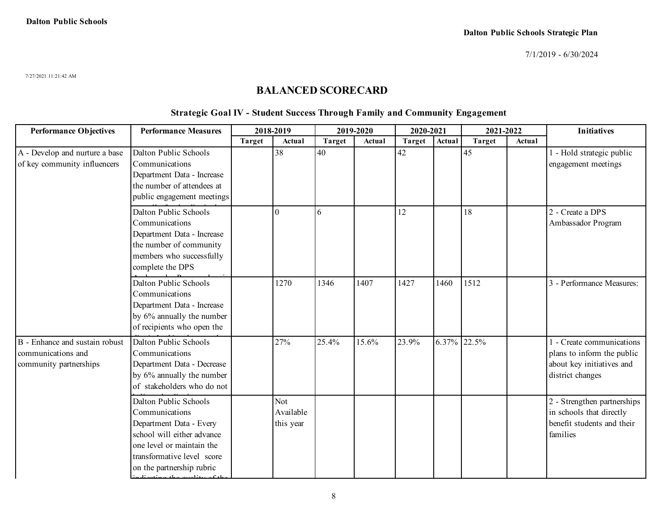7/27/2021 11:21:42 AM

### **BALANCED SCORECARD**

#### **Strategic Goal IV - Student Success Through Family and Community Engagement**

| <b>Performance Objectives</b>                                                  | <b>Performance Measures</b>                                                                                                                                                              | 2018-2019     |                               |               | 2019-2020 | 2020-2021     |             | 2021-2022     |        | <b>Initiatives</b>                                                                                       |
|--------------------------------------------------------------------------------|------------------------------------------------------------------------------------------------------------------------------------------------------------------------------------------|---------------|-------------------------------|---------------|-----------|---------------|-------------|---------------|--------|----------------------------------------------------------------------------------------------------------|
|                                                                                |                                                                                                                                                                                          | <b>Target</b> | Actual                        | <b>Target</b> | Actual    | <b>Target</b> | Actual      | <b>Target</b> | Actual |                                                                                                          |
| A - Develop and nurture a base<br>of key community influencers                 | Dalton Public Schools<br>Communications<br>Department Data - Increase<br>the number of attendees at<br>public engagement meetings                                                        |               | 38                            | 40            |           | 42            |             | 45            |        | 1 - Hold strategic public<br>engagement meetings                                                         |
|                                                                                | Dalton Public Schools<br>Communications<br>Department Data - Increase<br>the number of community<br>members who successfully<br>complete the DPS                                         |               | $\Omega$                      | 6             |           | 12            |             | 18            |        | 2 - Create a DPS<br>Ambassador Program                                                                   |
|                                                                                | Dalton Public Schools<br>Communications<br>Department Data - Increase<br>by 6% annually the number<br>of recipients who open the                                                         |               | 1270                          | 1346          | 1407      | 1427          | 1460        | 1512          |        | 3 - Performance Measures:                                                                                |
| B - Enhance and sustain robust<br>communications and<br>community partnerships | Dalton Public Schools<br>Communications<br>Department Data - Decrease<br>by 6% annually the number<br>of stakeholders who do not                                                         |               | 27%                           | 25.4%         | 15.6%     | 23.9%         | 6.37% 22.5% |               |        | 1 - Create communications<br>plans to inform the public<br>about key initiatives and<br>district changes |
|                                                                                | Dalton Public Schools<br>Communications<br>Department Data - Every<br>school will either advance<br>one level or maintain the<br>transformative level score<br>on the partnership rubric |               | Not<br>Available<br>this year |               |           |               |             |               |        | 2 - Strengthen partnerships<br>in schools that directly<br>benefit students and their<br>families        |